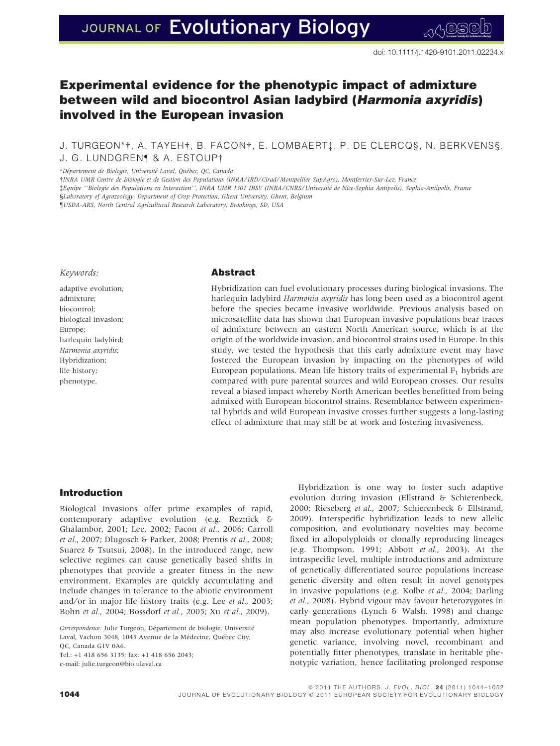# Experimental evidence for the phenotypic impact of admixture between wild and biocontrol Asian ladybird (Harmonia axyridis) involved in the European invasion

# J. TURGEON\*†, A. TAYEH†, B. FACON†, E. LOMBAERT‡, P. DE CLERCQ§, N. BERKVENS§, J. G. LUNDGREN¶ & A. ESTOUP†

\*Département de Biologie, Université Laval, Québec, QC, Canada

†INRA UMR Centre de Biologie et de Gestion des Populations (INRA/IRD/Cirad/Montpellier SupAgro), Montferrier-Sur-Lez, France

Equipe ''Biologie des Populations en Interaction'', INRA UMR 1301 IBSV (INRA ⁄ CNRS ⁄ Universite´ de Nice-Sophia Antipolis), Sophia-Antipolis, France

§Laboratory of Agrozoology, Department of Crop Protection, Ghent University, Ghent, Belgium

–USDA-ARS, North Central Agricultural Research Laboratory, Brookings, SD, USA

#### Keywords:

adaptive evolution; admixture; biocontrol; biological invasion; Europe; harlequin ladybird; Harmonia axyridis; Hybridization; life history; phenotype.

# Abstract

Hybridization can fuel evolutionary processes during biological invasions. The harlequin ladybird Harmonia axyridis has long been used as a biocontrol agent before the species became invasive worldwide. Previous analysis based on microsatellite data has shown that European invasive populations bear traces of admixture between an eastern North American source, which is at the origin of the worldwide invasion, and biocontrol strains used in Europe. In this study, we tested the hypothesis that this early admixture event may have fostered the European invasion by impacting on the phenotypes of wild European populations. Mean life history traits of experimental  $F_1$  hybrids are compared with pure parental sources and wild European crosses. Our results reveal a biased impact whereby North American beetles benefitted from being admixed with European biocontrol strains. Resemblance between experimental hybrids and wild European invasive crosses further suggests a long-lasting effect of admixture that may still be at work and fostering invasiveness.

# Introduction

Biological invasions offer prime examples of rapid, contemporary adaptive evolution (e.g. Reznick & Ghalambor, 2001; Lee, 2002; Facon et al., 2006; Carroll et al., 2007; Dlugosch & Parker, 2008; Prentis et al., 2008; Suarez & Tsutsui, 2008). In the introduced range, new selective regimes can cause genetically based shifts in phenotypes that provide a greater fitness in the new environment. Examples are quickly accumulating and include changes in tolerance to the abiotic environment and/or in major life history traits (e.g. Lee et al., 2003; Bohn et al., 2004; Bossdorf et al., 2005; Xu et al., 2009).

e-mail: julie.turgeon@bio.ulaval.ca

Hybridization is one way to foster such adaptive evolution during invasion (Ellstrand & Schierenbeck, 2000; Rieseberg et al., 2007; Schierenbeck & Ellstrand, 2009). Interspecific hybridization leads to new allelic composition, and evolutionary novelties may become fixed in allopolyploids or clonally reproducing lineages (e.g. Thompson, 1991; Abbott et al., 2003). At the intraspecific level, multiple introductions and admixture of genetically differentiated source populations increase genetic diversity and often result in novel genotypes in invasive populations (e.g. Kolbe et al., 2004; Darling et al., 2008). Hybrid vigour may favour heterozygotes in early generations (Lynch & Walsh, 1998) and change mean population phenotypes. Importantly, admixture may also increase evolutionary potential when higher genetic variance, involving novel, recombinant and potentially fitter phenotypes, translate in heritable phenotypic variation, hence facilitating prolonged response

Correspondence: Julie Turgeon, Département de biologie, Université Laval, Vachon 3048, 1045 Avenue de la Médecine, Québec City, QC, Canada G1V 0A6.  $Tel \cdot +1$  418 656 3135 $·$  fax $\cdot$  +1 418 656 2043 $\cdot$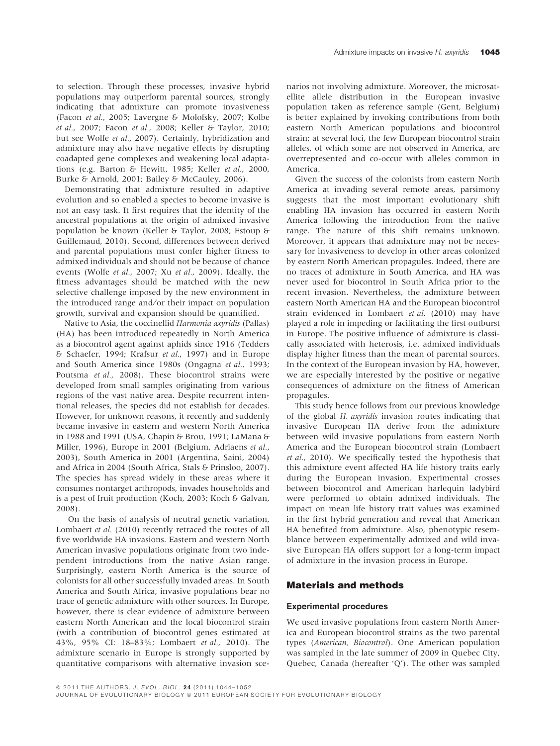to selection. Through these processes, invasive hybrid populations may outperform parental sources, strongly indicating that admixture can promote invasiveness (Facon et al., 2005; Lavergne & Molofsky, 2007; Kolbe et al., 2007; Facon et al., 2008; Keller & Taylor, 2010; but see Wolfe et al., 2007). Certainly, hybridization and admixture may also have negative effects by disrupting coadapted gene complexes and weakening local adaptations (e.g. Barton & Hewitt, 1985; Keller et al., 2000, Burke & Arnold, 2001; Bailey & McCauley, 2006).

Demonstrating that admixture resulted in adaptive evolution and so enabled a species to become invasive is not an easy task. It first requires that the identity of the ancestral populations at the origin of admixed invasive population be known (Keller & Taylor, 2008; Estoup & Guillemaud, 2010). Second, differences between derived and parental populations must confer higher fitness to admixed individuals and should not be because of chance events (Wolfe et al., 2007; Xu et al., 2009). Ideally, the fitness advantages should be matched with the new selective challenge imposed by the new environment in the introduced range and/or their impact on population growth, survival and expansion should be quantified.

Native to Asia, the coccinellid Harmonia axyridis (Pallas) (HA) has been introduced repeatedly in North America as a biocontrol agent against aphids since 1916 (Tedders & Schaefer, 1994; Krafsur et al., 1997) and in Europe and South America since 1980s (Ongagna et al., 1993; Poutsma et al., 2008). These biocontrol strains were developed from small samples originating from various regions of the vast native area. Despite recurrent intentional releases, the species did not establish for decades. However, for unknown reasons, it recently and suddenly became invasive in eastern and western North America in 1988 and 1991 (USA, Chapin & Brou, 1991; LaMana & Miller, 1996), Europe in 2001 (Belgium, Adriaens et al., 2003), South America in 2001 (Argentina, Saini, 2004) and Africa in 2004 (South Africa, Stals & Prinsloo, 2007). The species has spread widely in these areas where it consumes nontarget arthropods, invades households and is a pest of fruit production (Koch, 2003; Koch & Galvan, 2008).

On the basis of analysis of neutral genetic variation, Lombaert et al. (2010) recently retraced the routes of all five worldwide HA invasions. Eastern and western North American invasive populations originate from two independent introductions from the native Asian range. Surprisingly, eastern North America is the source of colonists for all other successfully invaded areas. In South America and South Africa, invasive populations bear no trace of genetic admixture with other sources. In Europe, however, there is clear evidence of admixture between eastern North American and the local biocontrol strain (with a contribution of biocontrol genes estimated at 43%, 95% CI: 18–83%; Lombaert et al., 2010). The admixture scenario in Europe is strongly supported by quantitative comparisons with alternative invasion scenarios not involving admixture. Moreover, the microsatellite allele distribution in the European invasive population taken as reference sample (Gent, Belgium) is better explained by invoking contributions from both eastern North American populations and biocontrol strain; at several loci, the few European biocontrol strain alleles, of which some are not observed in America, are overrepresented and co-occur with alleles common in America.

Given the success of the colonists from eastern North America at invading several remote areas, parsimony suggests that the most important evolutionary shift enabling HA invasion has occurred in eastern North America following the introduction from the native range. The nature of this shift remains unknown. Moreover, it appears that admixture may not be necessary for invasiveness to develop in other areas colonized by eastern North American propagules. Indeed, there are no traces of admixture in South America, and HA was never used for biocontrol in South Africa prior to the recent invasion. Nevertheless, the admixture between eastern North American HA and the European biocontrol strain evidenced in Lombaert et al. (2010) may have played a role in impeding or facilitating the first outburst in Europe. The positive influence of admixture is classically associated with heterosis, i.e. admixed individuals display higher fitness than the mean of parental sources. In the context of the European invasion by HA, however, we are especially interested by the positive or negative consequences of admixture on the fitness of American propagules.

This study hence follows from our previous knowledge of the global H. axyridis invasion routes indicating that invasive European HA derive from the admixture between wild invasive populations from eastern North America and the European biocontrol strain (Lombaert et al., 2010). We specifically tested the hypothesis that this admixture event affected HA life history traits early during the European invasion. Experimental crosses between biocontrol and American harlequin ladybird were performed to obtain admixed individuals. The impact on mean life history trait values was examined in the first hybrid generation and reveal that American HA benefited from admixture. Also, phenotypic resemblance between experimentally admixed and wild invasive European HA offers support for a long-term impact of admixture in the invasion process in Europe.

# Materials and methods

#### Experimental procedures

We used invasive populations from eastern North America and European biocontrol strains as the two parental types (American, Biocontrol). One American population was sampled in the late summer of 2009 in Quebec City, Quebec, Canada (hereafter 'Q'). The other was sampled

ª 2011 THE AUTHORS. J. EVOL. BIOL. 2 4 (2011) 1044–1052

JOURNAL OF EVOLUTIONARY BIOLOGY ª 2011 EUROPEAN SOCIETY FOR EVOLUTIONARY BIOLOGY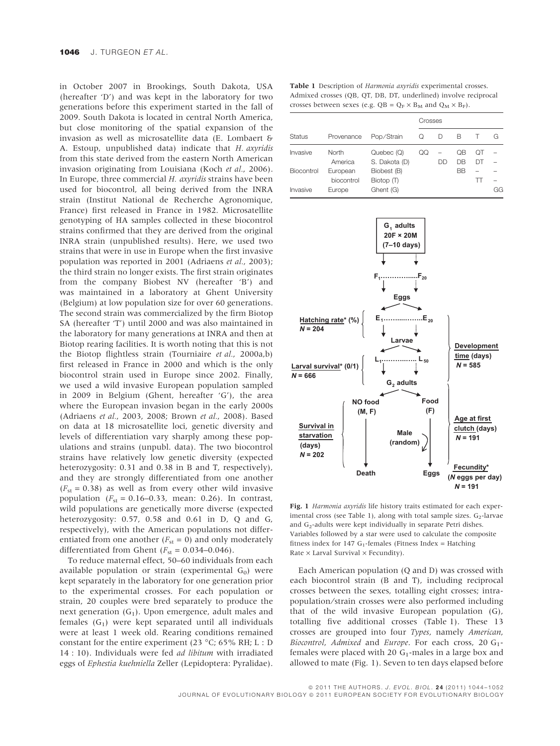in October 2007 in Brookings, South Dakota, USA (hereafter 'D') and was kept in the laboratory for two generations before this experiment started in the fall of 2009. South Dakota is located in central North America, but close monitoring of the spatial expansion of the invasion as well as microsatellite data (E. Lombaert & A. Estoup, unpublished data) indicate that H. axyridis from this state derived from the eastern North American invasion originating from Louisiana (Koch et al., 2006). In Europe, three commercial H. axyridis strains have been used for biocontrol, all being derived from the INRA strain (Institut National de Recherche Agronomique, France) first released in France in 1982. Microsatellite genotyping of HA samples collected in these biocontrol strains confirmed that they are derived from the original INRA strain (unpublished results). Here, we used two strains that were in use in Europe when the first invasive population was reported in 2001 (Adriaens et al., 2003); the third strain no longer exists. The first strain originates from the company Biobest NV (hereafter 'B') and was maintained in a laboratory at Ghent University (Belgium) at low population size for over 60 generations. The second strain was commercialized by the firm Biotop SA (hereafter 'T') until 2000 and was also maintained in the laboratory for many generations at INRA and then at Biotop rearing facilities. It is worth noting that this is not the Biotop flightless strain (Tourniaire et al., 2000a,b) first released in France in 2000 and which is the only biocontrol strain used in Europe since 2002. Finally, we used a wild invasive European population sampled in 2009 in Belgium (Ghent, hereafter 'G'), the area where the European invasion began in the early 2000s (Adriaens et al., 2003, 2008; Brown et al., 2008). Based on data at 18 microsatellite loci, genetic diversity and levels of differentiation vary sharply among these populations and strains (unpubl. data). The two biocontrol strains have relatively low genetic diversity (expected heterozygosity: 0.31 and 0.38 in B and T, respectively). and they are strongly differentiated from one another  $(F<sub>st</sub> = 0.38)$  as well as from every other wild invasive population ( $F_{st} = 0.16 - 0.33$ , mean: 0.26). In contrast, wild populations are genetically more diverse (expected heterozygosity: 0.57, 0.58 and 0.61 in D, Q and G, respectively), with the American populations not differentiated from one another ( $F_{st} = 0$ ) and only moderately differentiated from Ghent ( $F_{st} = 0.034 - 0.046$ ).

To reduce maternal effect, 50–60 individuals from each available population or strain (experimental  $G_0$ ) were kept separately in the laboratory for one generation prior to the experimental crosses. For each population or strain, 20 couples were bred separately to produce the next generation  $(G_1)$ . Upon emergence, adult males and females  $(G_1)$  were kept separated until all individuals were at least 1 week old. Rearing conditions remained constant for the entire experiment (23 °C; 65% RH; L : D 14 : 10). Individuals were fed ad libitum with irradiated eggs of Ephestia kuehniella Zeller (Lepidoptera: Pyralidae).

Table 1 Description of Harmonia axyridis experimental crosses. Admixed crosses (QB, QT, DB, DT, underlined) involve reciprocal crosses between sexes (e.g.  $QB = Q_F \times B_M$  and  $Q_M \times B_F$ ).

|               |                        |                             | Crosses |    |           |          |    |
|---------------|------------------------|-----------------------------|---------|----|-----------|----------|----|
| <b>Status</b> | Provenance             | Pop/Strain                  | Q       | D  | в         |          | G  |
| Invasive      | North<br>America       | Quebec (Q)<br>S. Dakota (D) | QQ      | DD | ΩB<br>DB  | OТ<br>DТ |    |
| Biocontrol    | European<br>biocontrol | Biobest (B)<br>Biotop (T)   |         |    | <b>BB</b> | П        |    |
| Invasive      | Europe                 | Ghent (G)                   |         |    |           |          | GG |



Fig. 1 Harmonia axyridis life history traits estimated for each experimental cross (see Table 1), along with total sample sizes.  $G_2$ -larvae and G<sub>2</sub>-adults were kept individually in separate Petri dishes. Variables followed by a star were used to calculate the composite fitness index for 147  $G_1$ -females (Fitness Index = Hatching Rate  $\times$  Larval Survival  $\times$  Fecundity).

Each American population (Q and D) was crossed with each biocontrol strain (B and T), including reciprocal crosses between the sexes, totalling eight crosses; intrapopulation/strain crosses were also performed including that of the wild invasive European population (G), totalling five additional crosses (Table 1). These 13 crosses are grouped into four Types, namely American, Biocontrol, Admixed and Europe. For each cross, 20  $G_1$ females were placed with 20  $G_1$ -males in a large box and allowed to mate (Fig. 1). Seven to ten days elapsed before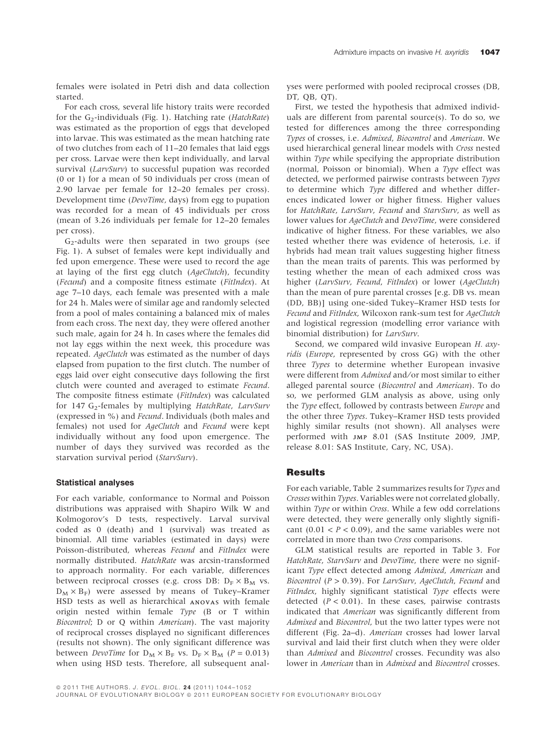females were isolated in Petri dish and data collection started.

For each cross, several life history traits were recorded for the G<sub>2</sub>-individuals (Fig. 1). Hatching rate (HatchRate) was estimated as the proportion of eggs that developed into larvae. This was estimated as the mean hatching rate of two clutches from each of 11–20 females that laid eggs per cross. Larvae were then kept individually, and larval survival (LarvSurv) to successful pupation was recorded (0 or 1) for a mean of 50 individuals per cross (mean of 2.90 larvae per female for 12–20 females per cross). Development time (DevoTime, days) from egg to pupation was recorded for a mean of 45 individuals per cross (mean of 3.26 individuals per female for 12–20 females per cross).

 $G<sub>2</sub>$ -adults were then separated in two groups (see Fig. 1). A subset of females were kept individually and fed upon emergence. These were used to record the age at laying of the first egg clutch (AgeClutch), fecundity (Fecund) and a composite fitness estimate (FitIndex). At age 7–10 days, each female was presented with a male for 24 h. Males were of similar age and randomly selected from a pool of males containing a balanced mix of males from each cross. The next day, they were offered another such male, again for 24 h. In cases where the females did not lay eggs within the next week, this procedure was repeated. AgeClutch was estimated as the number of days elapsed from pupation to the first clutch. The number of eggs laid over eight consecutive days following the first clutch were counted and averaged to estimate Fecund. The composite fitness estimate (FitIndex) was calculated for 147 G<sub>2</sub>-females by multiplying HatchRate, LarvSurv (expressed in %) and Fecund. Individuals (both males and females) not used for AgeClutch and Fecund were kept individually without any food upon emergence. The number of days they survived was recorded as the starvation survival period (StarvSurv).

# Statistical analyses

For each variable, conformance to Normal and Poisson distributions was appraised with Shapiro Wilk W and Kolmogorov's D tests, respectively. Larval survival coded as 0 (death) and 1 (survival) was treated as binomial. All time variables (estimated in days) were Poisson-distributed, whereas Fecund and FitIndex were normally distributed. HatchRate was arcsin-transformed to approach normality. For each variable, differences between reciprocal crosses (e.g. cross DB:  $D_F \times B_M$  vs.  $D_M \times B_F$ ) were assessed by means of Tukey–Kramer HSD tests as well as hierarchical ANOVAs with female origin nested within female Type (B or T within Biocontrol; D or Q within American). The vast majority of reciprocal crosses displayed no significant differences (results not shown). The only significant difference was between *DevoTime* for  $D_M \times B_F$  vs.  $D_F \times B_M$  (P = 0.013) when using HSD tests. Therefore, all subsequent analyses were performed with pooled reciprocal crosses (DB, DT, OB, OT).

First, we tested the hypothesis that admixed individuals are different from parental source(s). To do so, we tested for differences among the three corresponding Types of crosses, i.e. Admixed, Biocontrol and American. We used hierarchical general linear models with Cross nested within Type while specifying the appropriate distribution (normal, Poisson or binomial). When a Type effect was detected, we performed pairwise contrasts between Types to determine which Type differed and whether differences indicated lower or higher fitness. Higher values for HatchRate, LarvSurv, Fecund and StarvSurv, as well as lower values for AgeClutch and DevoTime, were considered indicative of higher fitness. For these variables, we also tested whether there was evidence of heterosis, i.e. if hybrids had mean trait values suggesting higher fitness than the mean traits of parents. This was performed by testing whether the mean of each admixed cross was higher (LarvSurv, Fecund, FitIndex) or lower (AgeClutch) than the mean of pure parental crosses [e.g. DB vs. mean (DD, BB)] using one-sided Tukey–Kramer HSD tests for Fecund and FitIndex, Wilcoxon rank-sum test for AgeClutch and logistical regression (modelling error variance with binomial distribution) for LarvSurv.

Second, we compared wild invasive European H. axyridis (Europe, represented by cross GG) with the other three Types to determine whether European invasive were different from Admixed and/or most similar to either alleged parental source (Biocontrol and American). To do so, we performed GLM analysis as above, using only the Type effect, followed by contrasts between Europe and the other three Types. Tukey–Kramer HSD tests provided highly similar results (not shown). All analyses were performed with JMP 8.01 (SAS Institute 2009, JMP, release 8.01: SAS Institute, Cary, NC, USA).

# Results

For each variable, Table 2 summarizes results for Types and Crosses within Types. Variables were not correlated globally, within Type or within Cross. While a few odd correlations were detected, they were generally only slightly significant (0.01  $\lt P \lt 0.09$ ), and the same variables were not correlated in more than two Cross comparisons.

GLM statistical results are reported in Table 3. For HatchRate, StarvSurv and DevoTime, there were no significant Type effect detected among Admixed, American and Biocontrol ( $P > 0.39$ ). For LarvSurv, AgeClutch, Fecund and FitIndex, highly significant statistical Type effects were detected  $(P < 0.01)$ . In these cases, pairwise contrasts indicated that American was significantly different from Admixed and Biocontrol, but the two latter types were not different (Fig. 2a–d). American crosses had lower larval survival and laid their first clutch when they were older than Admixed and Biocontrol crosses. Fecundity was also lower in American than in Admixed and Biocontrol crosses.

JOURNAL OF EVOLUTIONARY BIOLOGY ª 2011 EUROPEAN SOCIETY FOR EVOLUTIONARY BIOLOGY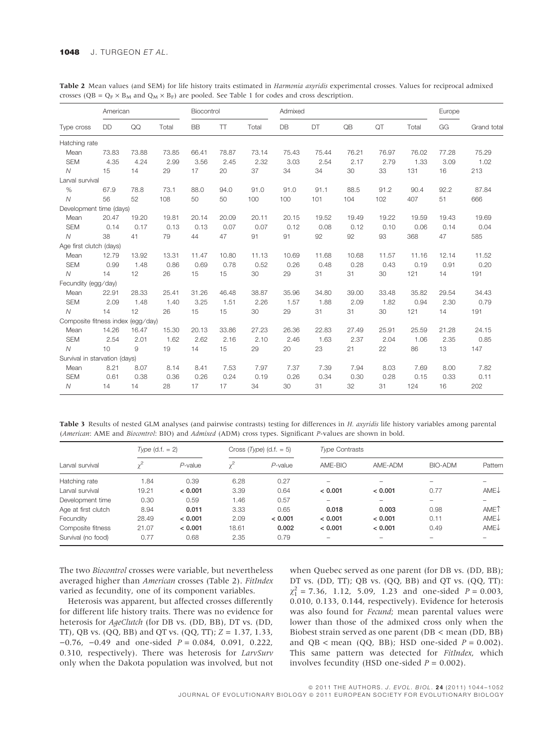| Type cross                        | American  |       | Biocontrol |           | Admixed |       |       |       | Europe |       |       |       |             |
|-----------------------------------|-----------|-------|------------|-----------|---------|-------|-------|-------|--------|-------|-------|-------|-------------|
|                                   | <b>DD</b> | QQ    | Total      | <b>BB</b> | $\top$  | Total | DB    | DT    | QB     | QT    | Total | GG    | Grand total |
| Hatching rate                     |           |       |            |           |         |       |       |       |        |       |       |       |             |
| Mean                              | 73.83     | 73.88 | 73.85      | 66.41     | 78.87   | 73.14 | 75.43 | 75.44 | 76.21  | 76.97 | 76.02 | 77.28 | 75.29       |
| <b>SEM</b>                        | 4.35      | 4.24  | 2.99       | 3.56      | 2.45    | 2.32  | 3.03  | 2.54  | 2.17   | 2.79  | 1.33  | 3.09  | 1.02        |
| $\mathcal N$                      | 15        | 14    | 29         | 17        | 20      | 37    | 34    | 34    | 30     | 33    | 131   | 16    | 213         |
| Larval survival                   |           |       |            |           |         |       |       |       |        |       |       |       |             |
| %                                 | 67.9      | 78.8  | 73.1       | 88.0      | 94.0    | 91.0  | 91.0  | 91.1  | 88.5   | 91.2  | 90.4  | 92.2  | 87.84       |
| $\overline{N}$                    | 56        | 52    | 108        | 50        | 50      | 100   | 100   | 101   | 104    | 102   | 407   | 51    | 666         |
| Development time (days)           |           |       |            |           |         |       |       |       |        |       |       |       |             |
| Mean                              | 20.47     | 19.20 | 19.81      | 20.14     | 20.09   | 20.11 | 20.15 | 19.52 | 19.49  | 19.22 | 19.59 | 19.43 | 19.69       |
| <b>SEM</b>                        | 0.14      | 0.17  | 0.13       | 0.13      | 0.07    | 0.07  | 0.12  | 0.08  | 0.12   | 0.10  | 0.06  | 0.14  | 0.04        |
| $\mathcal N$                      | 38        | 41    | 79         | 44        | 47      | 91    | 91    | 92    | 92     | 93    | 368   | 47    | 585         |
| Age first clutch (days)           |           |       |            |           |         |       |       |       |        |       |       |       |             |
| Mean                              | 12.79     | 13.92 | 13.31      | 11.47     | 10.80   | 11.13 | 10.69 | 11.68 | 10.68  | 11.57 | 11.16 | 12.14 | 11.52       |
| <b>SEM</b>                        | 0.99      | 1.48  | 0.86       | 0.69      | 0.78    | 0.52  | 0.26  | 0.48  | 0.28   | 0.43  | 0.19  | 0.91  | 0.20        |
| $\mathcal N$                      | 14        | 12    | 26         | 15        | 15      | 30    | 29    | 31    | 31     | 30    | 121   | 14    | 191         |
| Fecundity (egg/day)               |           |       |            |           |         |       |       |       |        |       |       |       |             |
| Mean                              | 22.91     | 28.33 | 25.41      | 31.26     | 46.48   | 38.87 | 35.96 | 34.80 | 39.00  | 33.48 | 35.82 | 29.54 | 34.43       |
| <b>SEM</b>                        | 2.09      | 1.48  | 1.40       | 3.25      | 1.51    | 2.26  | 1.57  | 1.88  | 2.09   | 1.82  | 0.94  | 2.30  | 0.79        |
| $\mathcal N$                      | 14        | 12    | 26         | 15        | 15      | 30    | 29    | 31    | 31     | 30    | 121   | 14    | 191         |
| Composite fitness index (egg/day) |           |       |            |           |         |       |       |       |        |       |       |       |             |
| Mean                              | 14.26     | 16.47 | 15.30      | 20.13     | 33.86   | 27.23 | 26.36 | 22.83 | 27.49  | 25.91 | 25.59 | 21.28 | 24.15       |
| <b>SEM</b>                        | 2.54      | 2.01  | 1.62       | 2.62      | 2.16    | 2.10  | 2.46  | 1.63  | 2.37   | 2.04  | 1.06  | 2.35  | 0.85        |
| $\mathcal N$                      | 10        | 9     | 19         | 14        | 15      | 29    | 20    | 23    | 21     | 22    | 86    | 13    | 147         |
| Survival in starvation (days)     |           |       |            |           |         |       |       |       |        |       |       |       |             |
| Mean                              | 8.21      | 8.07  | 8.14       | 8.41      | 7.53    | 7.97  | 7.37  | 7.39  | 7.94   | 8.03  | 7.69  | 8.00  | 7.82        |
| <b>SEM</b>                        | 0.61      | 0.38  | 0.36       | 0.26      | 0.24    | 0.19  | 0.26  | 0.34  | 0.30   | 0.28  | 0.15  | 0.33  | 0.11        |
| $\cal N$                          | 14        | 14    | 28         | 17        | 17      | 34    | 30    | 31    | 32     | 31    | 124   | 16    | 202         |

Table 2 Mean values (and SEM) for life history traits estimated in Harmonia axyridis experimental crosses. Values for reciprocal admixed crosses (QB =  $Q_F \times B_M$  and  $Q_M \times B_F$ ) are pooled. See Table 1 for codes and cross description.

Table 3 Results of nested GLM analyses (and pairwise contrasts) testing for differences in H. axyridis life history variables among parental (American: AME and Biocontrol: BIO) and Admixed (ADM) cross types. Significant P-values are shown in bold.

| Larval survival     | Type $(d.f. = 2)$ |            | Cross $(Type)$ (d.f. = 5) |            | <b>Type Contrasts</b> |                          |                |                          |  |
|---------------------|-------------------|------------|---------------------------|------------|-----------------------|--------------------------|----------------|--------------------------|--|
|                     |                   | $P$ -value |                           | $P$ -value | AME-BIO               | AME-ADM                  | <b>BIO-ADM</b> | Pattern                  |  |
| Hatching rate       | 1.84              | 0.39       | 6.28                      | 0.27       | -                     | $\overline{\phantom{a}}$ | -              | $\overline{\phantom{a}}$ |  |
| Larval survival     | 19.21             | < 0.001    | 3.39                      | 0.64       | < 0.001               | < 0.001                  | 0.77           | AME $\downarrow$         |  |
| Development time    | 0.30              | 0.59       | 1.46                      | 0.57       | -                     | $\overline{\phantom{0}}$ | -              | -                        |  |
| Age at first clutch | 8.94              | 0.011      | 3.33                      | 0.65       | 0.018                 | 0.003                    | 0.98           | AME <sup>1</sup>         |  |
| Fecundity           | 28.49             | < 0.001    | 2.09                      | < 0.001    | < 0.001               | < 0.001                  | 0.11           | AME↓                     |  |
| Composite fitness   | 21.07             | < 0.001    | 18.61                     | 0.002      | < 0.001               | < 0.001                  | 0.49           | AME $\downarrow$         |  |
| Survival (no food)  | 0.77              | 0.68       | 2.35                      | 0.79       | -                     | $\overline{\phantom{a}}$ | -              | -                        |  |

The two Biocontrol crosses were variable, but nevertheless averaged higher than American crosses (Table 2). FitIndex varied as fecundity, one of its component variables.

Heterosis was apparent, but affected crosses differently for different life history traits. There was no evidence for heterosis for AgeClutch (for DB vs. (DD, BB), DT vs. (DD, TT), QB vs. (QQ, BB) and QT vs. (QQ, TT); Z = 1.37, 1.33,  $-0.76$ ,  $-0.49$  and one-sided  $P = 0.084$ , 0.091, 0.222, 0.310, respectively). There was heterosis for LarvSurv only when the Dakota population was involved, but not when Quebec served as one parent (for DB vs. (DD, BB); DT vs. (DD, TT); QB vs. (QQ, BB) and QT vs. (QQ, TT):  $\chi_1^2 = 7.36, 1.12, 5.09, 1.23$  and one-sided  $P = 0.003$ , 0.010, 0.133, 0.144, respectively). Evidence for heterosis was also found for Fecund; mean parental values were lower than those of the admixed cross only when the Biobest strain served as one parent (DB < mean (DD, BB) and QB < mean (QQ, BB); HSD one-sided  $P = 0.002$ ). This same pattern was detected for FitIndex, which involves fecundity (HSD one-sided  $P = 0.002$ ).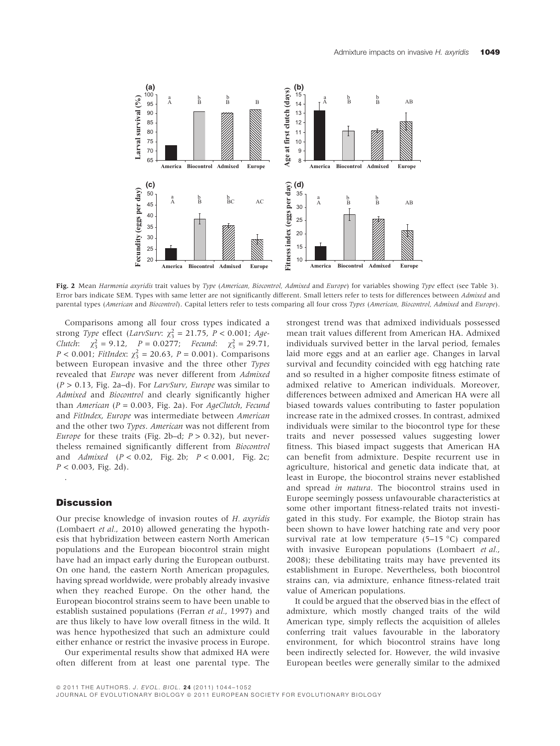

Fig. 2 Mean Harmonia axyridis trait values by Type (American, Biocontrol, Admixed and Europe) for variables showing Type effect (see Table 3). Error bars indicate SEM. Types with same letter are not significantly different. Small letters refer to tests for differences between Admixed and parental types (American and Biocontrol). Capital letters refer to tests comparing all four cross Types (American, Biocontrol, Admixed and Europe).

Comparisons among all four cross types indicated a strong Type effect (LarvSurv:  $\chi^2$  = 21.75, P < 0.001; Age-Clutch:  $\chi_3^2 = 9.12$ ,  $P = 0.0277$ ; Fecund:  $\chi_3^2 = 29.71$ ,  $P < 0.001$ ; FitIndex:  $\chi_3^2 = 20.63$ ,  $P = 0.001$ ). Comparisons between European invasive and the three other Types revealed that Europe was never different from Admixed  $(P > 0.13$ , Fig. 2a–d). For LarvSurv, Europe was similar to Admixed and Biocontrol and clearly significantly higher than American ( $P = 0.003$ , Fig. 2a). For AgeClutch, Fecund and FitIndex, Europe was intermediate between American and the other two Types. American was not different from *Europe* for these traits (Fig. 2b–d;  $P > 0.32$ ), but nevertheless remained significantly different from Biocontrol and *Admixed*  $(P < 0.02$ , Fig. 2b;  $P < 0.001$ , Fig. 2c;  $P < 0.003$ , Fig. 2d).

# **Discussion**

.

Our precise knowledge of invasion routes of H. axyridis (Lombaert et al., 2010) allowed generating the hypothesis that hybridization between eastern North American populations and the European biocontrol strain might have had an impact early during the European outburst. On one hand, the eastern North American propagules, having spread worldwide, were probably already invasive when they reached Europe. On the other hand, the European biocontrol strains seem to have been unable to establish sustained populations (Ferran et al., 1997) and are thus likely to have low overall fitness in the wild. It was hence hypothesized that such an admixture could either enhance or restrict the invasive process in Europe.

Our experimental results show that admixed HA were often different from at least one parental type. The

strongest trend was that admixed individuals possessed mean trait values different from American HA. Admixed individuals survived better in the larval period, females laid more eggs and at an earlier age. Changes in larval survival and fecundity coincided with egg hatching rate and so resulted in a higher composite fitness estimate of admixed relative to American individuals. Moreover, differences between admixed and American HA were all biased towards values contributing to faster population increase rate in the admixed crosses. In contrast, admixed individuals were similar to the biocontrol type for these traits and never possessed values suggesting lower fitness. This biased impact suggests that American HA can benefit from admixture. Despite recurrent use in agriculture, historical and genetic data indicate that, at least in Europe, the biocontrol strains never established and spread in natura. The biocontrol strains used in Europe seemingly possess unfavourable characteristics at some other important fitness-related traits not investigated in this study. For example, the Biotop strain has been shown to have lower hatching rate and very poor survival rate at low temperature  $(5-15 \degree C)$  compared with invasive European populations (Lombaert et al., 2008); these debilitating traits may have prevented its establishment in Europe. Nevertheless, both biocontrol strains can, via admixture, enhance fitness-related trait value of American populations.

It could be argued that the observed bias in the effect of admixture, which mostly changed traits of the wild American type, simply reflects the acquisition of alleles conferring trait values favourable in the laboratory environment, for which biocontrol strains have long been indirectly selected for. However, the wild invasive European beetles were generally similar to the admixed

ª 2011 THE AUTHORS. J. EVOL. BIOL. 2 4 (2011) 1044–1052

JOURNAL OF EVOLUTIONARY BIOLOGY ª 2011 EUROPEAN SOCIETY FOR EVOLUTIONARY BIOLOGY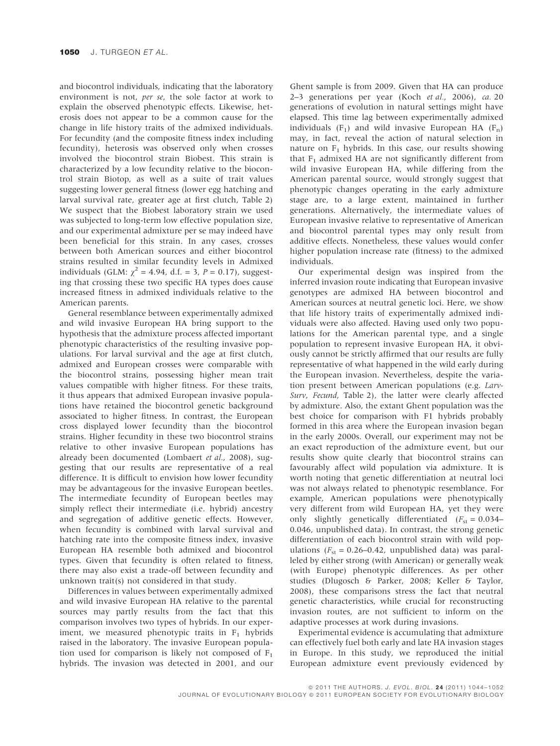and biocontrol individuals, indicating that the laboratory environment is not, per se, the sole factor at work to explain the observed phenotypic effects. Likewise, heterosis does not appear to be a common cause for the change in life history traits of the admixed individuals. For fecundity (and the composite fitness index including fecundity), heterosis was observed only when crosses involved the biocontrol strain Biobest. This strain is characterized by a low fecundity relative to the biocontrol strain Biotop, as well as a suite of trait values suggesting lower general fitness (lower egg hatching and larval survival rate, greater age at first clutch, Table 2) We suspect that the Biobest laboratory strain we used was subjected to long-term low effective population size, and our experimental admixture per se may indeed have been beneficial for this strain. In any cases, crosses between both American sources and either biocontrol strains resulted in similar fecundity levels in Admixed individuals (GLM:  $\chi^2 = 4.94$ , d.f. = 3, P = 0.17), suggesting that crossing these two specific HA types does cause increased fitness in admixed individuals relative to the American parents.

General resemblance between experimentally admixed and wild invasive European HA bring support to the hypothesis that the admixture process affected important phenotypic characteristics of the resulting invasive populations. For larval survival and the age at first clutch, admixed and European crosses were comparable with the biocontrol strains, possessing higher mean trait values compatible with higher fitness. For these traits, it thus appears that admixed European invasive populations have retained the biocontrol genetic background associated to higher fitness. In contrast, the European cross displayed lower fecundity than the biocontrol strains. Higher fecundity in these two biocontrol strains relative to other invasive European populations has already been documented (Lombaert et al., 2008), suggesting that our results are representative of a real difference. It is difficult to envision how lower fecundity may be advantageous for the invasive European beetles. The intermediate fecundity of European beetles may simply reflect their intermediate (i.e. hybrid) ancestry and segregation of additive genetic effects. However, when fecundity is combined with larval survival and hatching rate into the composite fitness index, invasive European HA resemble both admixed and biocontrol types. Given that fecundity is often related to fitness, there may also exist a trade-off between fecundity and unknown trait(s) not considered in that study.

Differences in values between experimentally admixed and wild invasive European HA relative to the parental sources may partly results from the fact that this comparison involves two types of hybrids. In our experiment, we measured phenotypic traits in  $F_1$  hybrids raised in the laboratory. The invasive European population used for comparison is likely not composed of  $F_1$ hybrids. The invasion was detected in 2001, and our Ghent sample is from 2009. Given that HA can produce 2–3 generations per year (Koch et al., 2006), ca. 20 generations of evolution in natural settings might have elapsed. This time lag between experimentally admixed individuals  $(F_1)$  and wild invasive European HA  $(F_n)$ may, in fact, reveal the action of natural selection in nature on  $F_1$  hybrids. In this case, our results showing that  $F_1$  admixed HA are not significantly different from wild invasive European HA, while differing from the American parental source, would strongly suggest that phenotypic changes operating in the early admixture stage are, to a large extent, maintained in further generations. Alternatively, the intermediate values of European invasive relative to representative of American and biocontrol parental types may only result from additive effects. Nonetheless, these values would confer higher population increase rate (fitness) to the admixed individuals.

Our experimental design was inspired from the inferred invasion route indicating that European invasive genotypes are admixed HA between biocontrol and American sources at neutral genetic loci. Here, we show that life history traits of experimentally admixed individuals were also affected. Having used only two populations for the American parental type, and a single population to represent invasive European HA, it obviously cannot be strictly affirmed that our results are fully representative of what happened in the wild early during the European invasion. Nevertheless, despite the variation present between American populations (e.g. Larv-Surv, Fecund, Table 2), the latter were clearly affected by admixture. Also, the extant Ghent population was the best choice for comparison with F1 hybrids probably formed in this area where the European invasion began in the early 2000s. Overall, our experiment may not be an exact reproduction of the admixture event, but our results show quite clearly that biocontrol strains can favourably affect wild population via admixture. It is worth noting that genetic differentiation at neutral loci was not always related to phenotypic resemblance. For example, American populations were phenotypically very different from wild European HA, yet they were only slightly genetically differentiated  $(F_{st} = 0.034-$ 0.046, unpublished data). In contrast, the strong genetic differentiation of each biocontrol strain with wild populations ( $F_{\text{st}} = 0.26{\text -}0.42$ , unpublished data) was paralleled by either strong (with American) or generally weak (with Europe) phenotypic differences. As per other studies (Dlugosch & Parker, 2008; Keller & Taylor, 2008), these comparisons stress the fact that neutral genetic characteristics, while crucial for reconstructing invasion routes, are not sufficient to inform on the adaptive processes at work during invasions.

Experimental evidence is accumulating that admixture can effectively fuel both early and late HA invasion stages in Europe. In this study, we reproduced the initial European admixture event previously evidenced by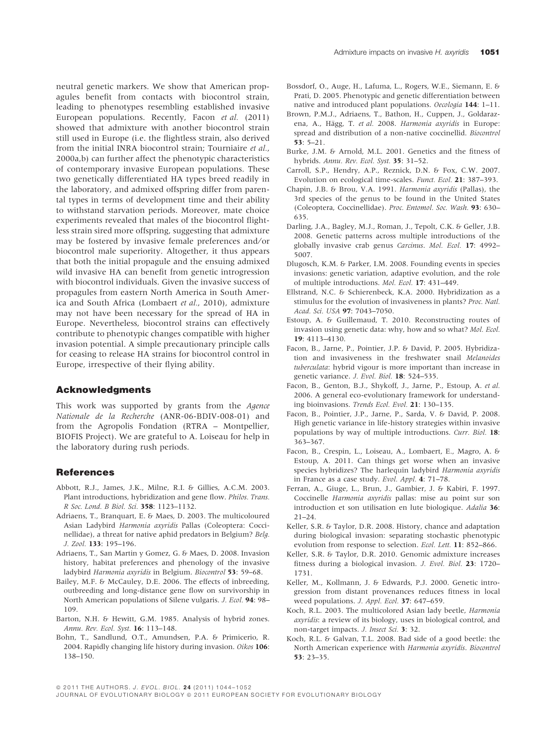neutral genetic markers. We show that American propagules benefit from contacts with biocontrol strain, leading to phenotypes resembling established invasive European populations. Recently, Facon et al. (2011) showed that admixture with another biocontrol strain still used in Europe (i.e. the flightless strain, also derived from the initial INRA biocontrol strain; Tourniaire et al., 2000a,b) can further affect the phenotypic characteristics of contemporary invasive European populations. These two genetically differentiated HA types breed readily in the laboratory, and admixed offspring differ from parental types in terms of development time and their ability to withstand starvation periods. Moreover, mate choice experiments revealed that males of the biocontrol flightless strain sired more offspring, suggesting that admixture may be fostered by invasive female preferences and/or biocontrol male superiority. Altogether, it thus appears that both the initial propagule and the ensuing admixed wild invasive HA can benefit from genetic introgression with biocontrol individuals. Given the invasive success of propagules from eastern North America in South America and South Africa (Lombaert et al., 2010), admixture may not have been necessary for the spread of HA in Europe. Nevertheless, biocontrol strains can effectively contribute to phenotypic changes compatible with higher invasion potential. A simple precautionary principle calls for ceasing to release HA strains for biocontrol control in Europe, irrespective of their flying ability.

# Acknowledgments

This work was supported by grants from the Agence Nationale de la Recherche (ANR-06-BDIV-008-01) and from the Agropolis Fondation (RTRA – Montpellier, BIOFIS Project). We are grateful to A. Loiseau for help in the laboratory during rush periods.

# References

- Abbott, R.J., James, J.K., Milne, R.I. & Gillies, A.C.M. 2003. Plant introductions, hybridization and gene flow. Philos. Trans. R Soc. Lond. B Biol. Sci. 358: 1123–1132.
- Adriaens, T., Branquart, E. & Maes, D. 2003. The multicoloured Asian Ladybird Harmonia axyridis Pallas (Coleoptera: Coccinellidae), a threat for native aphid predators in Belgium? Belg. J. Zool. 133: 195–196.
- Adriaens, T., San Martin y Gomez, G. & Maes, D. 2008. Invasion history, habitat preferences and phenology of the invasive ladybird Harmonia axyridis in Belgium. Biocontrol 53: 59-68.
- Bailey, M.F. & McCauley, D.E. 2006. The effects of inbreeding, outbreeding and long-distance gene flow on survivorship in North American populations of Silene vulgaris. J. Ecol. 94: 98– 109.
- Barton, N.H. & Hewitt, G.M. 1985. Analysis of hybrid zones. Annu. Rev. Ecol. Syst. 16: 113–148.
- Bohn, T., Sandlund, O.T., Amundsen, P.A. & Primicerio, R. 2004. Rapidly changing life history during invasion. Oikos 106: 138–150.
- Bossdorf, O., Auge, H., Lafuma, L., Rogers, W.E., Siemann, E. & Prati, D. 2005. Phenotypic and genetic differentiation between native and introduced plant populations. Oecologia 144: 1-11.
- Brown, P.M.J., Adriaens, T., Bathon, H., Cuppen, J., Goldarazena, A., Hägg, T. et al. 2008. Harmonia axyridis in Europe: spread and distribution of a non-native coccinellid. Biocontrol  $53: 5-21$ .
- Burke, J.M. & Arnold, M.L. 2001. Genetics and the fitness of hybrids. Annu. Rev. Ecol. Syst. 35: 31-52.
- Carroll, S.P., Hendry, A.P., Reznick, D.N. & Fox, C.W. 2007. Evolution on ecological time-scales. Funct. Ecol. 21: 387–393.
- Chapin, J.B. & Brou, V.A. 1991. Harmonia axyridis (Pallas), the 3rd species of the genus to be found in the United States (Coleoptera, Coccinellidae). Proc. Entomol. Soc. Wash. 93: 630– 635.
- Darling, J.A., Bagley, M.J., Roman, J., Tepolt, C.K. & Geller, J.B. 2008. Genetic patterns across multiple introductions of the globally invasive crab genus Carcinus. Mol. Ecol. 17: 4992– 5007.
- Dlugosch, K.M. & Parker, I.M. 2008. Founding events in species invasions: genetic variation, adaptive evolution, and the role of multiple introductions. Mol. Ecol. 17: 431–449.
- Ellstrand, N.C. & Schierenbeck, K.A. 2000. Hybridization as a stimulus for the evolution of invasiveness in plants? Proc. Natl. Acad. Sci. USA 97: 7043–7050.
- Estoup, A. & Guillemaud, T. 2010. Reconstructing routes of invasion using genetic data: why, how and so what? Mol. Ecol. 19: 4113–4130.
- Facon, B., Jarne, P., Pointier, J.P. & David, P. 2005. Hybridization and invasiveness in the freshwater snail Melanoides tuberculata: hybrid vigour is more important than increase in genetic variance. J. Evol. Biol. 18: 524–535.
- Facon, B., Genton, B.J., Shykoff, J., Jarne, P., Estoup, A. et al. 2006. A general eco-evolutionary framework for understanding bioinvasions. Trends Ecol. Evol. 21: 130–135.
- Facon, B., Pointier, J.P., Jarne, P., Sarda, V. & David, P. 2008. High genetic variance in life-history strategies within invasive populations by way of multiple introductions. Curr. Biol. 18: 363–367.
- Facon, B., Crespin, L., Loiseau, A., Lombaert, E., Magro, A. & Estoup, A. 2011. Can things get worse when an invasive species hybridizes? The harlequin ladybird Harmonia axyridis in France as a case study. Evol. Appl. 4: 71–78.
- Ferran, A., Giuge, L., Brun, J., Gambier, J. & Kabiri, F. 1997. Coccinelle Harmonia axyridis pallas: mise au point sur son introduction et son utilisation en lute biologique. Adalia 36:  $21 - 24$ .
- Keller, S.R. & Taylor, D.R. 2008. History, chance and adaptation during biological invasion: separating stochastic phenotypic evolution from response to selection. Ecol. Lett. 11: 852–866.
- Keller, S.R. & Taylor, D.R. 2010. Genomic admixture increases fitness during a biological invasion. J. Evol. Biol. 23: 1720– 1731.
- Keller, M., Kollmann, J. & Edwards, P.J. 2000. Genetic introgression from distant provenances reduces fitness in local weed populations. J. Appl. Ecol. 37: 647-659.
- Koch, R.L. 2003. The multicolored Asian lady beetle, Harmonia axyridis: a review of its biology, uses in biological control, and non-target impacts. J. Insect Sci. 3: 32.
- Koch, R.L. & Galvan, T.L. 2008. Bad side of a good beetle: the North American experience with Harmonia axyridis. Biocontrol 53: 23–35.

ª 2011 THE AUTHORS. J. EVOL. BIOL. 2 4 (2011) 1044–1052

JOURNAL OF EVOLUTIONARY BIOLOGY ª 2011 EUROPEAN SOCIETY FOR EVOLUTIONARY BIOLOGY